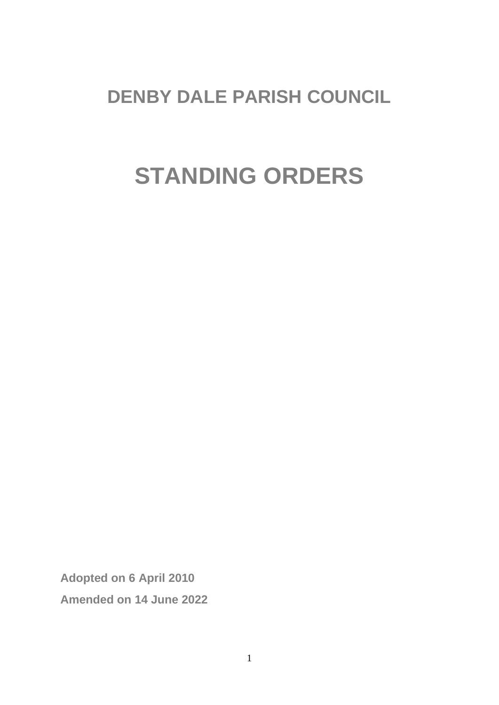## **DENBY DALE PARISH COUNCIL**

# **STANDING ORDERS**

**Adopted on 6 April 2010 Amended on 14 June 2022**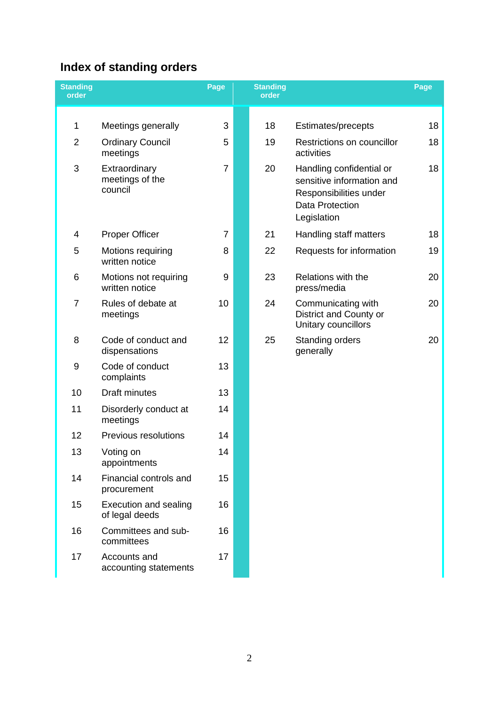## **Index of standing orders**

| <b>Standing</b><br>order |                                                | Page           | <b>Standing</b><br>order |                                                                                                                          | Page |
|--------------------------|------------------------------------------------|----------------|--------------------------|--------------------------------------------------------------------------------------------------------------------------|------|
| 1                        |                                                | 3              | 18                       |                                                                                                                          | 18   |
|                          | Meetings generally                             |                |                          | Estimates/precepts                                                                                                       |      |
| $\overline{2}$           | <b>Ordinary Council</b><br>meetings            | 5              | 19                       | Restrictions on councillor<br>activities                                                                                 | 18   |
| 3                        | Extraordinary<br>meetings of the<br>council    | $\overline{7}$ | 20                       | Handling confidential or<br>sensitive information and<br>Responsibilities under<br><b>Data Protection</b><br>Legislation | 18   |
| 4                        | <b>Proper Officer</b>                          | $\overline{7}$ | 21                       | Handling staff matters                                                                                                   | 18   |
| 5                        | Motions requiring<br>written notice            | 8              | 22                       | Requests for information                                                                                                 | 19   |
| 6                        | Motions not requiring<br>written notice        | 9              | 23                       | Relations with the<br>press/media                                                                                        | 20   |
| 7                        | Rules of debate at<br>meetings                 | 10             | 24                       | Communicating with<br>District and County or<br>Unitary councillors                                                      | 20   |
| 8                        | Code of conduct and<br>dispensations           | 12             | 25                       | Standing orders<br>generally                                                                                             | 20   |
| 9                        | Code of conduct<br>complaints                  | 13             |                          |                                                                                                                          |      |
| 10                       | Draft minutes                                  | 13             |                          |                                                                                                                          |      |
| 11                       | Disorderly conduct at<br>meetings              | 14             |                          |                                                                                                                          |      |
| 12                       | Previous resolutions                           | 14             |                          |                                                                                                                          |      |
| 13                       | Voting on<br>appointments                      | 14             |                          |                                                                                                                          |      |
| 14                       | Financial controls and<br>procurement          | 15             |                          |                                                                                                                          |      |
| 15                       | <b>Execution and sealing</b><br>of legal deeds | 16             |                          |                                                                                                                          |      |
| 16                       | Committees and sub-<br>committees              | 16             |                          |                                                                                                                          |      |
| 17                       | Accounts and<br>accounting statements          | 17             |                          |                                                                                                                          |      |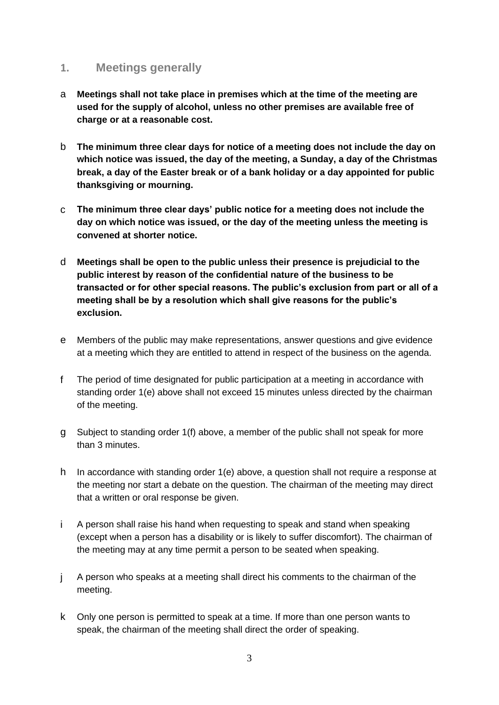#### **1. Meetings generally**

- a **Meetings shall not take place in premises which at the time of the meeting are used for the supply of alcohol, unless no other premises are available free of charge or at a reasonable cost.**
- b **The minimum three clear days for notice of a meeting does not include the day on which notice was issued, the day of the meeting, a Sunday, a day of the Christmas break, a day of the Easter break or of a bank holiday or a day appointed for public thanksgiving or mourning.**
- c **The minimum three clear days' public notice for a meeting does not include the day on which notice was issued, or the day of the meeting unless the meeting is convened at shorter notice.**
- d **Meetings shall be open to the public unless their presence is prejudicial to the public interest by reason of the confidential nature of the business to be transacted or for other special reasons. The public's exclusion from part or all of a meeting shall be by a resolution which shall give reasons for the public's exclusion.**
- e Members of the public may make representations, answer questions and give evidence at a meeting which they are entitled to attend in respect of the business on the agenda.
- f The period of time designated for public participation at a meeting in accordance with standing order 1(e) above shall not exceed 15 minutes unless directed by the chairman of the meeting.
- g Subject to standing order 1(f) above, a member of the public shall not speak for more than 3 minutes.
- h In accordance with standing order 1(e) above, a question shall not require a response at the meeting nor start a debate on the question. The chairman of the meeting may direct that a written or oral response be given.
- i A person shall raise his hand when requesting to speak and stand when speaking (except when a person has a disability or is likely to suffer discomfort). The chairman of the meeting may at any time permit a person to be seated when speaking.
- j A person who speaks at a meeting shall direct his comments to the chairman of the meeting.
- k Only one person is permitted to speak at a time. If more than one person wants to speak, the chairman of the meeting shall direct the order of speaking.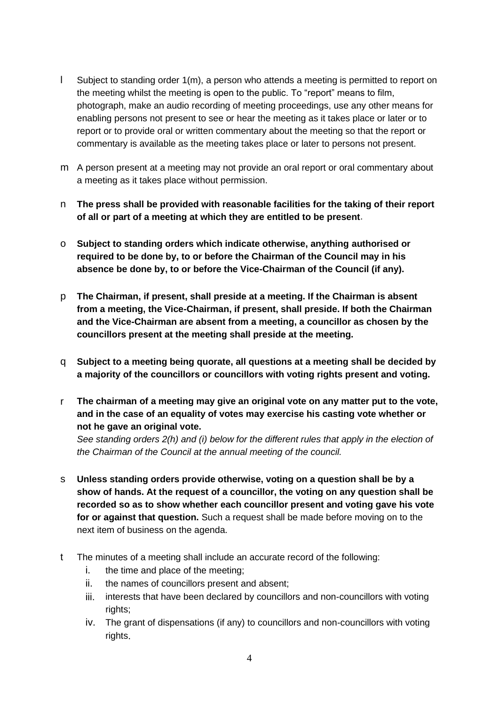- l Subject to standing order 1(m), a person who attends a meeting is permitted to report on the meeting whilst the meeting is open to the public. To "report" means to film, photograph, make an audio recording of meeting proceedings, use any other means for enabling persons not present to see or hear the meeting as it takes place or later or to report or to provide oral or written commentary about the meeting so that the report or commentary is available as the meeting takes place or later to persons not present.
- m A person present at a meeting may not provide an oral report or oral commentary about a meeting as it takes place without permission.
- n **The press shall be provided with reasonable facilities for the taking of their report of all or part of a meeting at which they are entitled to be present**.
- o **Subject to standing orders which indicate otherwise, anything authorised or required to be done by, to or before the Chairman of the Council may in his absence be done by, to or before the Vice-Chairman of the Council (if any).**
- p **The Chairman, if present, shall preside at a meeting. If the Chairman is absent from a meeting, the Vice-Chairman, if present, shall preside. If both the Chairman and the Vice-Chairman are absent from a meeting, a councillor as chosen by the councillors present at the meeting shall preside at the meeting.**
- q **Subject to a meeting being quorate, all questions at a meeting shall be decided by a majority of the councillors or councillors with voting rights present and voting.**
- r **The chairman of a meeting may give an original vote on any matter put to the vote, and in the case of an equality of votes may exercise his casting vote whether or not he gave an original vote.**

*See standing orders 2(h) and (i) below for the different rules that apply in the election of the Chairman of the Council at the annual meeting of the council.*

- s **Unless standing orders provide otherwise, voting on a question shall be by a show of hands. At the request of a councillor, the voting on any question shall be recorded so as to show whether each councillor present and voting gave his vote for or against that question.** Such a request shall be made before moving on to the next item of business on the agenda.
- t The minutes of a meeting shall include an accurate record of the following:
	- i. the time and place of the meeting;
	- ii. the names of councillors present and absent;
	- iii. interests that have been declared by councillors and non-councillors with voting rights;
	- iv. The grant of dispensations (if any) to councillors and non-councillors with voting rights.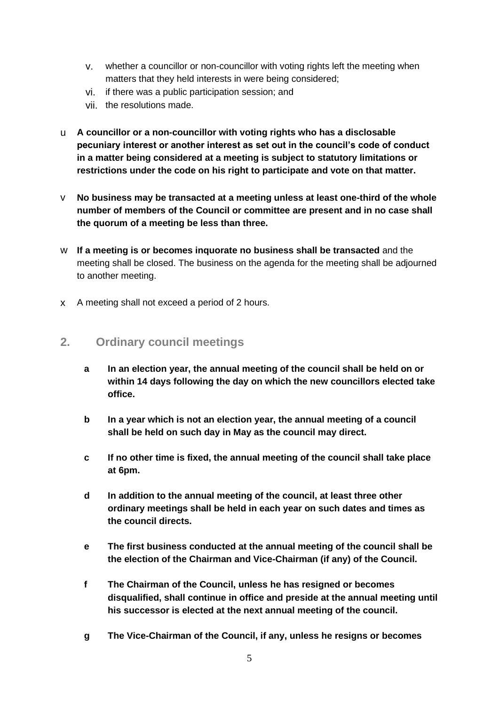- v. whether a councillor or non-councillor with voting rights left the meeting when matters that they held interests in were being considered;
- vi. if there was a public participation session; and
- vii. the resolutions made.
- u **A councillor or a non-councillor with voting rights who has a disclosable pecuniary interest or another interest as set out in the council's code of conduct in a matter being considered at a meeting is subject to statutory limitations or restrictions under the code on his right to participate and vote on that matter.**
- v **No business may be transacted at a meeting unless at least one-third of the whole number of members of the Council or committee are present and in no case shall the quorum of a meeting be less than three.**
- w **If a meeting is or becomes inquorate no business shall be transacted** and the meeting shall be closed. The business on the agenda for the meeting shall be adjourned to another meeting.
- x A meeting shall not exceed a period of 2 hours.

#### **2. Ordinary council meetings**

- **a In an election year, the annual meeting of the council shall be held on or within 14 days following the day on which the new councillors elected take office.**
- **b In a year which is not an election year, the annual meeting of a council shall be held on such day in May as the council may direct.**
- **c If no other time is fixed, the annual meeting of the council shall take place at 6pm.**
- **d In addition to the annual meeting of the council, at least three other ordinary meetings shall be held in each year on such dates and times as the council directs.**
- **e The first business conducted at the annual meeting of the council shall be the election of the Chairman and Vice-Chairman (if any) of the Council.**
- **f The Chairman of the Council, unless he has resigned or becomes disqualified, shall continue in office and preside at the annual meeting until his successor is elected at the next annual meeting of the council.**
- **g The Vice-Chairman of the Council, if any, unless he resigns or becomes**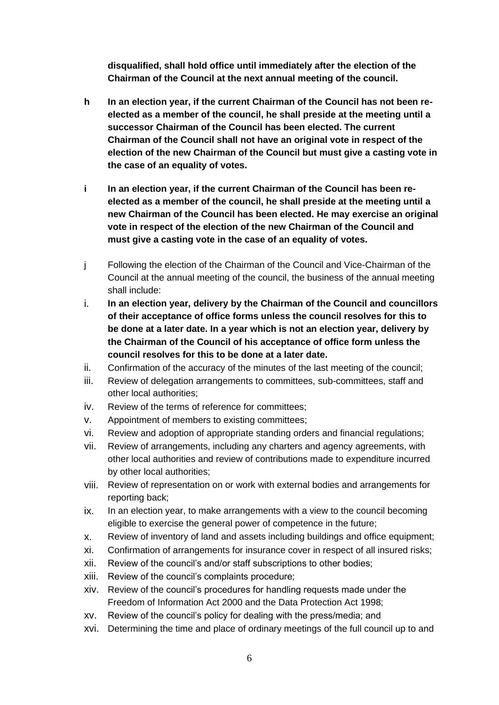**disqualified, shall hold office until immediately after the election of the Chairman of the Council at the next annual meeting of the council.**

- **h In an election year, if the current Chairman of the Council has not been reelected as a member of the council, he shall preside at the meeting until a successor Chairman of the Council has been elected. The current Chairman of the Council shall not have an original vote in respect of the election of the new Chairman of the Council but must give a casting vote in the case of an equality of votes.**
- **i In an election year, if the current Chairman of the Council has been reelected as a member of the council, he shall preside at the meeting until a new Chairman of the Council has been elected. He may exercise an original vote in respect of the election of the new Chairman of the Council and must give a casting vote in the case of an equality of votes.**
- j Following the election of the Chairman of the Council and Vice-Chairman of the Council at the annual meeting of the council, the business of the annual meeting shall include:
- i. **In an election year, delivery by the Chairman of the Council and councillors of their acceptance of office forms unless the council resolves for this to be done at a later date. In a year which is not an election year, delivery by the Chairman of the Council of his acceptance of office form unless the council resolves for this to be done at a later date.**
- ii. Confirmation of the accuracy of the minutes of the last meeting of the council;
- iii. Review of delegation arrangements to committees, sub-committees, staff and other local authorities;
- iv. Review of the terms of reference for committees;
- v. Appointment of members to existing committees;
- vi. Review and adoption of appropriate standing orders and financial regulations;
- vii. Review of arrangements, including any charters and agency agreements, with other local authorities and review of contributions made to expenditure incurred by other local authorities;
- viii. Review of representation on or work with external bodies and arrangements for reporting back;
- ix. In an election year, to make arrangements with a view to the council becoming eligible to exercise the general power of competence in the future;
- x. Review of inventory of land and assets including buildings and office equipment;
- xi. Confirmation of arrangements for insurance cover in respect of all insured risks;
- xii. Review of the council's and/or staff subscriptions to other bodies;
- xiii. Review of the council's complaints procedure;
- xiv. Review of the council's procedures for handling requests made under the Freedom of Information Act 2000 and the Data Protection Act 1998;
- xv. Review of the council's policy for dealing with the press/media; and
- xvi. Determining the time and place of ordinary meetings of the full council up to and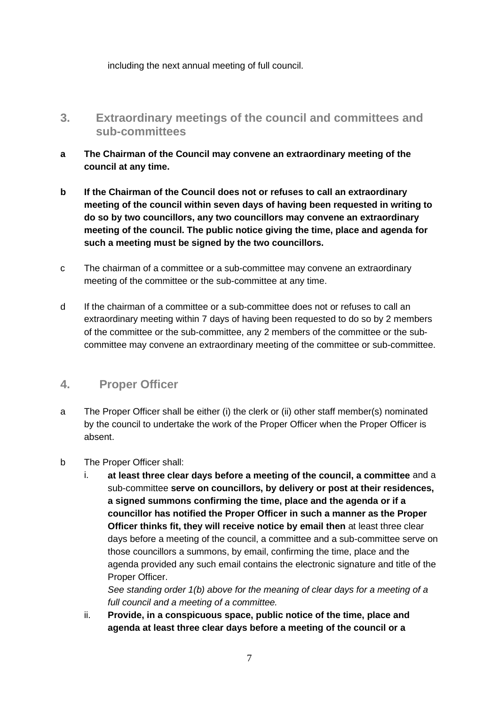including the next annual meeting of full council.

- **3. Extraordinary meetings of the council and committees and sub-committees**
- **a The Chairman of the Council may convene an extraordinary meeting of the council at any time.**
- **b If the Chairman of the Council does not or refuses to call an extraordinary meeting of the council within seven days of having been requested in writing to do so by two councillors, any two councillors may convene an extraordinary meeting of the council. The public notice giving the time, place and agenda for such a meeting must be signed by the two councillors.**
- c The chairman of a committee or a sub-committee may convene an extraordinary meeting of the committee or the sub-committee at any time.
- d If the chairman of a committee or a sub-committee does not or refuses to call an extraordinary meeting within 7 days of having been requested to do so by 2 members of the committee or the sub-committee, any 2 members of the committee or the subcommittee may convene an extraordinary meeting of the committee or sub-committee.

#### **4. Proper Officer**

- a The Proper Officer shall be either (i) the clerk or (ii) other staff member(s) nominated by the council to undertake the work of the Proper Officer when the Proper Officer is absent.
- b The Proper Officer shall:
	- i. **at least three clear days before a meeting of the council, a committee** and a sub-committee **serve on councillors, by delivery or post at their residences, a signed summons confirming the time, place and the agenda or if a councillor has notified the Proper Officer in such a manner as the Proper Officer thinks fit, they will receive notice by email then** at least three clear days before a meeting of the council, a committee and a sub-committee serve on those councillors a summons, by email, confirming the time, place and the agenda provided any such email contains the electronic signature and title of the Proper Officer.

*See standing order 1(b) above for the meaning of clear days for a meeting of a full council and a meeting of a committee.*

ii. **Provide, in a conspicuous space, public notice of the time, place and agenda at least three clear days before a meeting of the council or a**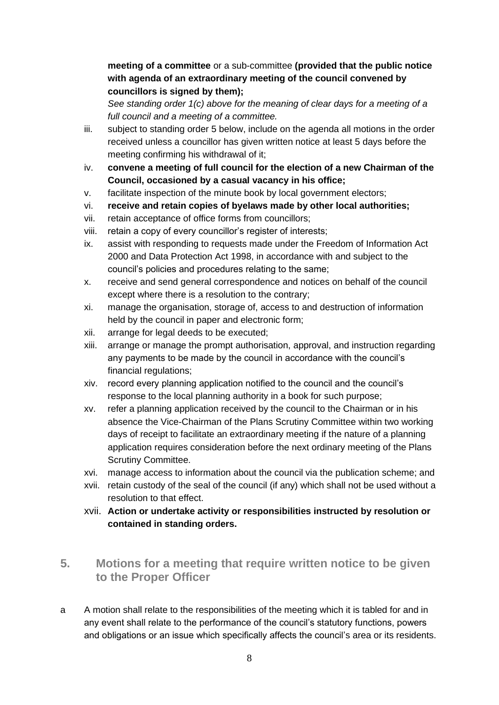#### **meeting of a committee** or a sub-committee **(provided that the public notice with agenda of an extraordinary meeting of the council convened by councillors is signed by them);**

*See standing order 1(c) above for the meaning of clear days for a meeting of a full council and a meeting of a committee.*

- iii. subject to standing order 5 below, include on the agenda all motions in the order received unless a councillor has given written notice at least 5 days before the meeting confirming his withdrawal of it;
- iv. **convene a meeting of full council for the election of a new Chairman of the Council, occasioned by a casual vacancy in his office;**
- v. facilitate inspection of the minute book by local government electors;
- vi. **receive and retain copies of byelaws made by other local authorities;**
- vii. retain acceptance of office forms from councillors;
- viii. retain a copy of every councillor's register of interests;
- ix. assist with responding to requests made under the Freedom of Information Act 2000 and Data Protection Act 1998, in accordance with and subject to the council's policies and procedures relating to the same;
- x. receive and send general correspondence and notices on behalf of the council except where there is a resolution to the contrary;
- xi. manage the organisation, storage of, access to and destruction of information held by the council in paper and electronic form;
- xii. arrange for legal deeds to be executed;
- xiii. arrange or manage the prompt authorisation, approval, and instruction regarding any payments to be made by the council in accordance with the council's financial regulations;
- xiv. record every planning application notified to the council and the council's response to the local planning authority in a book for such purpose;
- xv. refer a planning application received by the council to the Chairman or in his absence the Vice-Chairman of the Plans Scrutiny Committee within two working days of receipt to facilitate an extraordinary meeting if the nature of a planning application requires consideration before the next ordinary meeting of the Plans Scrutiny Committee.
- xvi. manage access to information about the council via the publication scheme; and
- xvii. retain custody of the seal of the council (if any) which shall not be used without a resolution to that effect.
- xvii. **Action or undertake activity or responsibilities instructed by resolution or contained in standing orders.**
- **5. Motions for a meeting that require written notice to be given to the Proper Officer**
- a A motion shall relate to the responsibilities of the meeting which it is tabled for and in any event shall relate to the performance of the council's statutory functions, powers and obligations or an issue which specifically affects the council's area or its residents.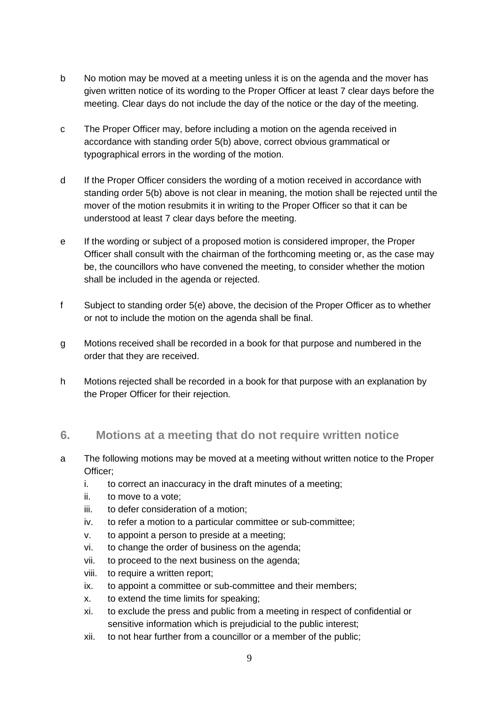- b No motion may be moved at a meeting unless it is on the agenda and the mover has given written notice of its wording to the Proper Officer at least 7 clear days before the meeting. Clear days do not include the day of the notice or the day of the meeting.
- c The Proper Officer may, before including a motion on the agenda received in accordance with standing order 5(b) above, correct obvious grammatical or typographical errors in the wording of the motion.
- d If the Proper Officer considers the wording of a motion received in accordance with standing order 5(b) above is not clear in meaning, the motion shall be rejected until the mover of the motion resubmits it in writing to the Proper Officer so that it can be understood at least 7 clear days before the meeting.
- e If the wording or subject of a proposed motion is considered improper, the Proper Officer shall consult with the chairman of the forthcoming meeting or, as the case may be, the councillors who have convened the meeting, to consider whether the motion shall be included in the agenda or rejected.
- f Subject to standing order 5(e) above, the decision of the Proper Officer as to whether or not to include the motion on the agenda shall be final.
- g Motions received shall be recorded in a book for that purpose and numbered in the order that they are received.
- h Motions rejected shall be recorded in a book for that purpose with an explanation by the Proper Officer for their rejection.

#### **6. Motions at a meeting that do not require written notice**

- a The following motions may be moved at a meeting without written notice to the Proper Officer;
	- i. to correct an inaccuracy in the draft minutes of a meeting;
	- ii. to move to a vote;
	- iii. to defer consideration of a motion;
	- iv. to refer a motion to a particular committee or sub-committee;
	- v. to appoint a person to preside at a meeting;
	- vi. to change the order of business on the agenda;
	- vii. to proceed to the next business on the agenda;
	- viii. to require a written report;
	- ix. to appoint a committee or sub-committee and their members;
	- x. to extend the time limits for speaking;
	- xi. to exclude the press and public from a meeting in respect of confidential or sensitive information which is prejudicial to the public interest;
	- xii. to not hear further from a councillor or a member of the public;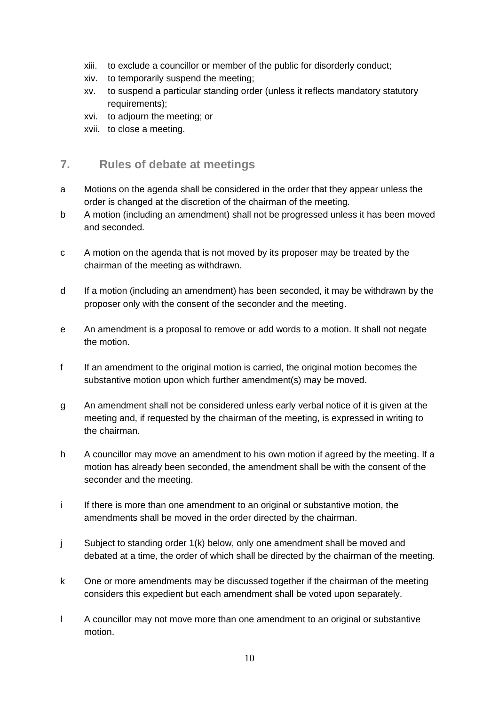- xiii. to exclude a councillor or member of the public for disorderly conduct;
- xiv. to temporarily suspend the meeting;
- xv. to suspend a particular standing order (unless it reflects mandatory statutory requirements);
- xvi. to adjourn the meeting; or
- xvii. to close a meeting.

#### **7. Rules of debate at meetings**

- a Motions on the agenda shall be considered in the order that they appear unless the order is changed at the discretion of the chairman of the meeting.
- b A motion (including an amendment) shall not be progressed unless it has been moved and seconded.
- c A motion on the agenda that is not moved by its proposer may be treated by the chairman of the meeting as withdrawn.
- d If a motion (including an amendment) has been seconded, it may be withdrawn by the proposer only with the consent of the seconder and the meeting.
- e An amendment is a proposal to remove or add words to a motion. It shall not negate the motion.
- f If an amendment to the original motion is carried, the original motion becomes the substantive motion upon which further amendment(s) may be moved.
- g An amendment shall not be considered unless early verbal notice of it is given at the meeting and, if requested by the chairman of the meeting, is expressed in writing to the chairman.
- h A councillor may move an amendment to his own motion if agreed by the meeting. If a motion has already been seconded, the amendment shall be with the consent of the seconder and the meeting.
- i If there is more than one amendment to an original or substantive motion, the amendments shall be moved in the order directed by the chairman.
- j Subject to standing order 1(k) below, only one amendment shall be moved and debated at a time, the order of which shall be directed by the chairman of the meeting.
- k One or more amendments may be discussed together if the chairman of the meeting considers this expedient but each amendment shall be voted upon separately.
- l A councillor may not move more than one amendment to an original or substantive motion.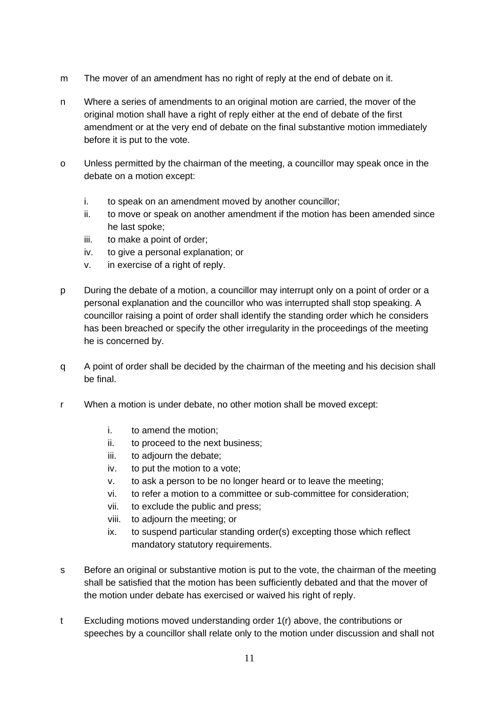- m The mover of an amendment has no right of reply at the end of debate on it.
- n Where a series of amendments to an original motion are carried, the mover of the original motion shall have a right of reply either at the end of debate of the first amendment or at the very end of debate on the final substantive motion immediately before it is put to the vote.
- o Unless permitted by the chairman of the meeting, a councillor may speak once in the debate on a motion except:
	- i. to speak on an amendment moved by another councillor;
	- ii. to move or speak on another amendment if the motion has been amended since he last spoke;
	- iii. to make a point of order;
	- iv. to give a personal explanation; or
	- v. in exercise of a right of reply.
- p During the debate of a motion, a councillor may interrupt only on a point of order or a personal explanation and the councillor who was interrupted shall stop speaking. A councillor raising a point of order shall identify the standing order which he considers has been breached or specify the other irregularity in the proceedings of the meeting he is concerned by.
- q A point of order shall be decided by the chairman of the meeting and his decision shall be final.
- r When a motion is under debate, no other motion shall be moved except:
	- i. to amend the motion;
	- ii. to proceed to the next business;
	- iii. to adjourn the debate;
	- iv. to put the motion to a vote;
	- v. to ask a person to be no longer heard or to leave the meeting;
	- vi. to refer a motion to a committee or sub-committee for consideration;
	- vii. to exclude the public and press;
	- viii. to adjourn the meeting; or
	- ix. to suspend particular standing order(s) excepting those which reflect mandatory statutory requirements.
- s Before an original or substantive motion is put to the vote, the chairman of the meeting shall be satisfied that the motion has been sufficiently debated and that the mover of the motion under debate has exercised or waived his right of reply.
- t Excluding motions moved understanding order 1(r) above, the contributions or speeches by a councillor shall relate only to the motion under discussion and shall not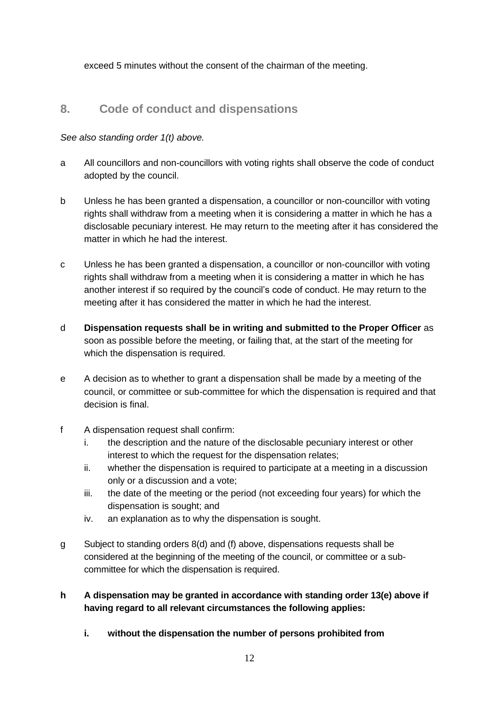exceed 5 minutes without the consent of the chairman of the meeting.

#### **8. Code of conduct and dispensations**

#### *See also standing order 1(t) above.*

- a All councillors and non-councillors with voting rights shall observe the code of conduct adopted by the council.
- b Unless he has been granted a dispensation, a councillor or non-councillor with voting rights shall withdraw from a meeting when it is considering a matter in which he has a disclosable pecuniary interest. He may return to the meeting after it has considered the matter in which he had the interest.
- c Unless he has been granted a dispensation, a councillor or non-councillor with voting rights shall withdraw from a meeting when it is considering a matter in which he has another interest if so required by the council's code of conduct. He may return to the meeting after it has considered the matter in which he had the interest.
- d **Dispensation requests shall be in writing and submitted to the Proper Officer** as soon as possible before the meeting, or failing that, at the start of the meeting for which the dispensation is required.
- e A decision as to whether to grant a dispensation shall be made by a meeting of the council, or committee or sub-committee for which the dispensation is required and that decision is final.
- f A dispensation request shall confirm:
	- i. the description and the nature of the disclosable pecuniary interest or other interest to which the request for the dispensation relates;
	- ii. whether the dispensation is required to participate at a meeting in a discussion only or a discussion and a vote;
	- iii. the date of the meeting or the period (not exceeding four years) for which the dispensation is sought; and
	- iv. an explanation as to why the dispensation is sought.
- g Subject to standing orders 8(d) and (f) above, dispensations requests shall be considered at the beginning of the meeting of the council, or committee or a subcommittee for which the dispensation is required.

#### **h A dispensation may be granted in accordance with standing order 13(e) above if having regard to all relevant circumstances the following applies:**

**i. without the dispensation the number of persons prohibited from**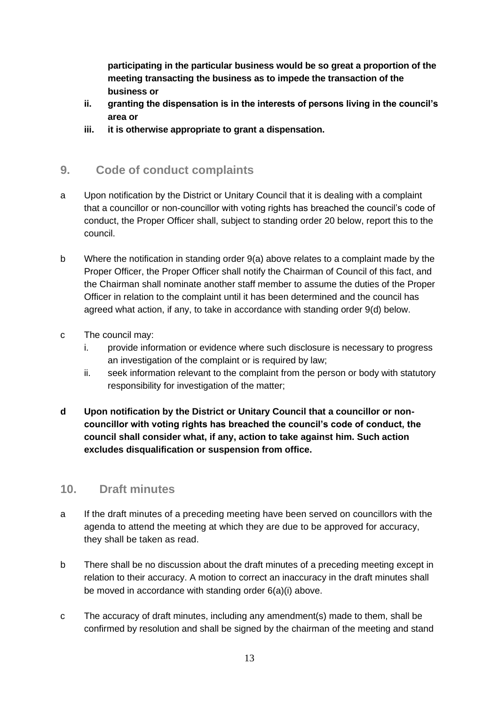**participating in the particular business would be so great a proportion of the meeting transacting the business as to impede the transaction of the business or**

- **ii. granting the dispensation is in the interests of persons living in the council's area or**
- **iii. it is otherwise appropriate to grant a dispensation.**

#### **9. Code of conduct complaints**

- a Upon notification by the District or Unitary Council that it is dealing with a complaint that a councillor or non-councillor with voting rights has breached the council's code of conduct, the Proper Officer shall, subject to standing order 20 below, report this to the council.
- b Where the notification in standing order 9(a) above relates to a complaint made by the Proper Officer, the Proper Officer shall notify the Chairman of Council of this fact, and the Chairman shall nominate another staff member to assume the duties of the Proper Officer in relation to the complaint until it has been determined and the council has agreed what action, if any, to take in accordance with standing order 9(d) below.
- c The council may:
	- i. provide information or evidence where such disclosure is necessary to progress an investigation of the complaint or is required by law;
	- ii. seek information relevant to the complaint from the person or body with statutory responsibility for investigation of the matter;
- **d Upon notification by the District or Unitary Council that a councillor or noncouncillor with voting rights has breached the council's code of conduct, the council shall consider what, if any, action to take against him. Such action excludes disqualification or suspension from office.**

#### **10. Draft minutes**

- a If the draft minutes of a preceding meeting have been served on councillors with the agenda to attend the meeting at which they are due to be approved for accuracy, they shall be taken as read.
- b There shall be no discussion about the draft minutes of a preceding meeting except in relation to their accuracy. A motion to correct an inaccuracy in the draft minutes shall be moved in accordance with standing order 6(a)(i) above.
- c The accuracy of draft minutes, including any amendment(s) made to them, shall be confirmed by resolution and shall be signed by the chairman of the meeting and stand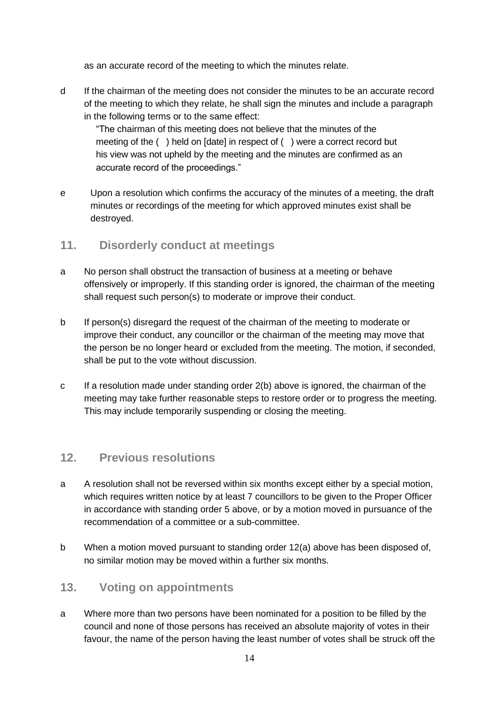as an accurate record of the meeting to which the minutes relate.

d If the chairman of the meeting does not consider the minutes to be an accurate record of the meeting to which they relate, he shall sign the minutes and include a paragraph in the following terms or to the same effect:

"The chairman of this meeting does not believe that the minutes of the meeting of the ( ) held on [date] in respect of ( ) were a correct record but his view was not upheld by the meeting and the minutes are confirmed as an accurate record of the proceedings."

e Upon a resolution which confirms the accuracy of the minutes of a meeting, the draft minutes or recordings of the meeting for which approved minutes exist shall be destroyed.

#### **11. Disorderly conduct at meetings**

- a No person shall obstruct the transaction of business at a meeting or behave offensively or improperly. If this standing order is ignored, the chairman of the meeting shall request such person(s) to moderate or improve their conduct.
- b If person(s) disregard the request of the chairman of the meeting to moderate or improve their conduct, any councillor or the chairman of the meeting may move that the person be no longer heard or excluded from the meeting. The motion, if seconded, shall be put to the vote without discussion.
- c If a resolution made under standing order 2(b) above is ignored, the chairman of the meeting may take further reasonable steps to restore order or to progress the meeting. This may include temporarily suspending or closing the meeting.

#### **12. Previous resolutions**

- a A resolution shall not be reversed within six months except either by a special motion, which requires written notice by at least 7 councillors to be given to the Proper Officer in accordance with standing order 5 above, or by a motion moved in pursuance of the recommendation of a committee or a sub-committee.
- b When a motion moved pursuant to standing order 12(a) above has been disposed of, no similar motion may be moved within a further six months.

#### **13. Voting on appointments**

a Where more than two persons have been nominated for a position to be filled by the council and none of those persons has received an absolute majority of votes in their favour, the name of the person having the least number of votes shall be struck off the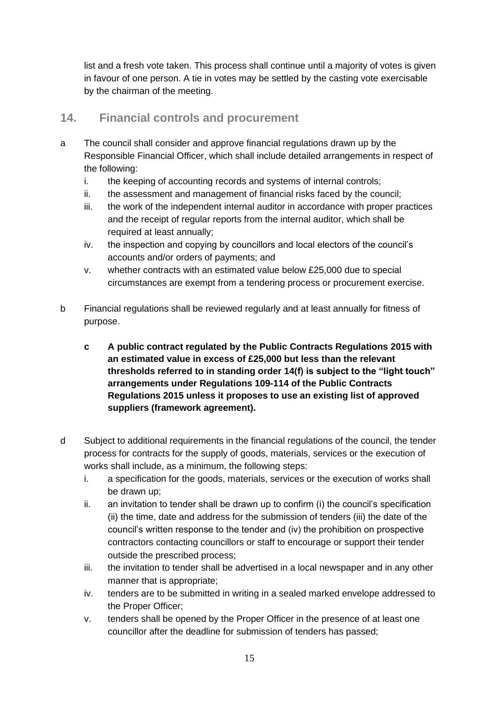list and a fresh vote taken. This process shall continue until a majority of votes is given in favour of one person. A tie in votes may be settled by the casting vote exercisable by the chairman of the meeting.

#### **14. Financial controls and procurement**

- a The council shall consider and approve financial regulations drawn up by the Responsible Financial Officer, which shall include detailed arrangements in respect of the following:
	- i. the keeping of accounting records and systems of internal controls;
	- ii. the assessment and management of financial risks faced by the council;
	- iii. the work of the independent internal auditor in accordance with proper practices and the receipt of regular reports from the internal auditor, which shall be required at least annually;
	- iv. the inspection and copying by councillors and local electors of the council's accounts and/or orders of payments; and
	- v. whether contracts with an estimated value below £25,000 due to special circumstances are exempt from a tendering process or procurement exercise.
- b Financial regulations shall be reviewed regularly and at least annually for fitness of purpose.
	- **c A public contract regulated by the Public Contracts Regulations 2015 with an estimated value in excess of £25,000 but less than the relevant thresholds referred to in standing order 14(f) is subject to the "light touch" arrangements under Regulations 109-114 of the Public Contracts Regulations 2015 unless it proposes to use an existing list of approved suppliers (framework agreement).**
- d Subject to additional requirements in the financial regulations of the council, the tender process for contracts for the supply of goods, materials, services or the execution of works shall include, as a minimum, the following steps:
	- i. a specification for the goods, materials, services or the execution of works shall be drawn up;
	- ii. an invitation to tender shall be drawn up to confirm (i) the council's specification (ii) the time, date and address for the submission of tenders (iii) the date of the council's written response to the tender and (iv) the prohibition on prospective contractors contacting councillors or staff to encourage or support their tender outside the prescribed process;
	- iii. the invitation to tender shall be advertised in a local newspaper and in any other manner that is appropriate;
	- iv. tenders are to be submitted in writing in a sealed marked envelope addressed to the Proper Officer;
	- v. tenders shall be opened by the Proper Officer in the presence of at least one councillor after the deadline for submission of tenders has passed;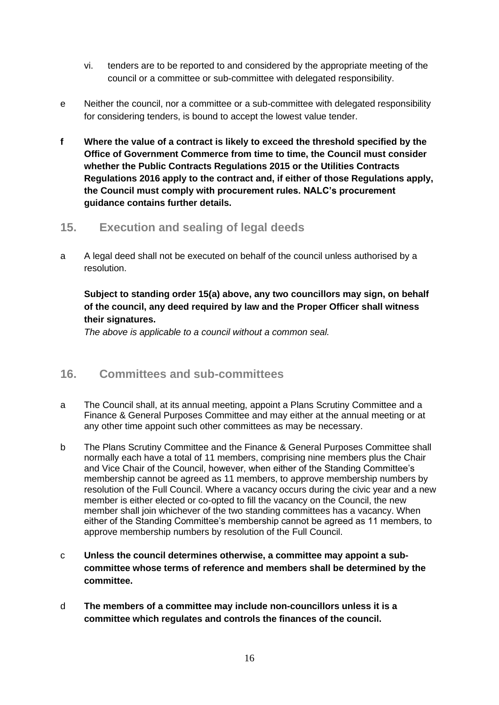- vi. tenders are to be reported to and considered by the appropriate meeting of the council or a committee or sub-committee with delegated responsibility.
- e Neither the council, nor a committee or a sub-committee with delegated responsibility for considering tenders, is bound to accept the lowest value tender.
- **f Where the value of a contract is likely to exceed the threshold specified by the Office of Government Commerce from time to time, the Council must consider whether the Public Contracts Regulations 2015 or the Utilities Contracts Regulations 2016 apply to the contract and, if either of those Regulations apply, the Council must comply with procurement rules. NALC's procurement guidance contains further details.**

#### **15. Execution and sealing of legal deeds**

a A legal deed shall not be executed on behalf of the council unless authorised by a resolution.

#### **Subject to standing order 15(a) above, any two councillors may sign, on behalf of the council, any deed required by law and the Proper Officer shall witness their signatures.**

*The above is applicable to a council without a common seal.*

#### **16. Committees and sub-committees**

- a The Council shall, at its annual meeting, appoint a Plans Scrutiny Committee and a Finance & General Purposes Committee and may either at the annual meeting or at any other time appoint such other committees as may be necessary.
- b The Plans Scrutiny Committee and the Finance & General Purposes Committee shall normally each have a total of 11 members, comprising nine members plus the Chair and Vice Chair of the Council, however, when either of the Standing Committee's membership cannot be agreed as 11 members, to approve membership numbers by resolution of the Full Council. Where a vacancy occurs during the civic year and a new member is either elected or co-opted to fill the vacancy on the Council, the new member shall join whichever of the two standing committees has a vacancy. When either of the Standing Committee's membership cannot be agreed as 11 members, to approve membership numbers by resolution of the Full Council.
- c **Unless the council determines otherwise, a committee may appoint a subcommittee whose terms of reference and members shall be determined by the committee.**
- d **The members of a committee may include non-councillors unless it is a committee which regulates and controls the finances of the council.**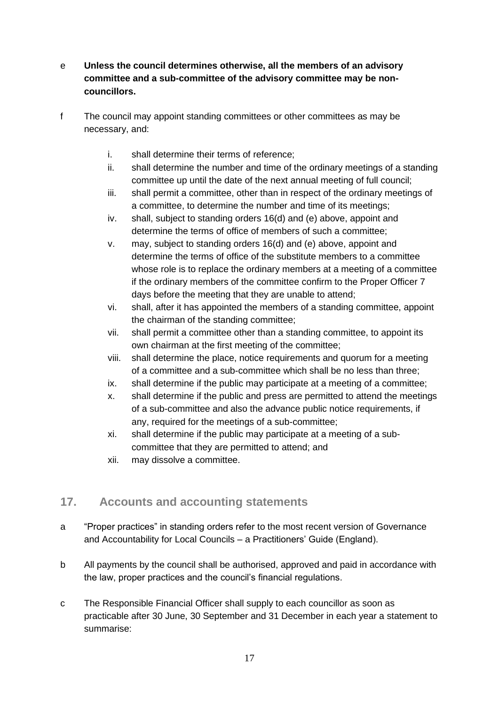- e **Unless the council determines otherwise, all the members of an advisory committee and a sub-committee of the advisory committee may be noncouncillors.**
- f The council may appoint standing committees or other committees as may be necessary, and:
	- i. shall determine their terms of reference;
	- ii. shall determine the number and time of the ordinary meetings of a standing committee up until the date of the next annual meeting of full council;
	- iii. shall permit a committee, other than in respect of the ordinary meetings of a committee, to determine the number and time of its meetings;
	- iv. shall, subject to standing orders 16(d) and (e) above, appoint and determine the terms of office of members of such a committee;
	- v. may, subject to standing orders 16(d) and (e) above, appoint and determine the terms of office of the substitute members to a committee whose role is to replace the ordinary members at a meeting of a committee if the ordinary members of the committee confirm to the Proper Officer 7 days before the meeting that they are unable to attend;
	- vi. shall, after it has appointed the members of a standing committee, appoint the chairman of the standing committee;
	- vii. shall permit a committee other than a standing committee, to appoint its own chairman at the first meeting of the committee;
	- viii. shall determine the place, notice requirements and quorum for a meeting of a committee and a sub-committee which shall be no less than three;
	- ix. shall determine if the public may participate at a meeting of a committee;
	- x. shall determine if the public and press are permitted to attend the meetings of a sub-committee and also the advance public notice requirements, if any, required for the meetings of a sub-committee;
	- xi. shall determine if the public may participate at a meeting of a subcommittee that they are permitted to attend; and
	- xii. may dissolve a committee.

#### **17. Accounts and accounting statements**

- a "Proper practices" in standing orders refer to the most recent version of Governance and Accountability for Local Councils – a Practitioners' Guide (England).
- b All payments by the council shall be authorised, approved and paid in accordance with the law, proper practices and the council's financial regulations.
- c The Responsible Financial Officer shall supply to each councillor as soon as practicable after 30 June, 30 September and 31 December in each year a statement to summarise: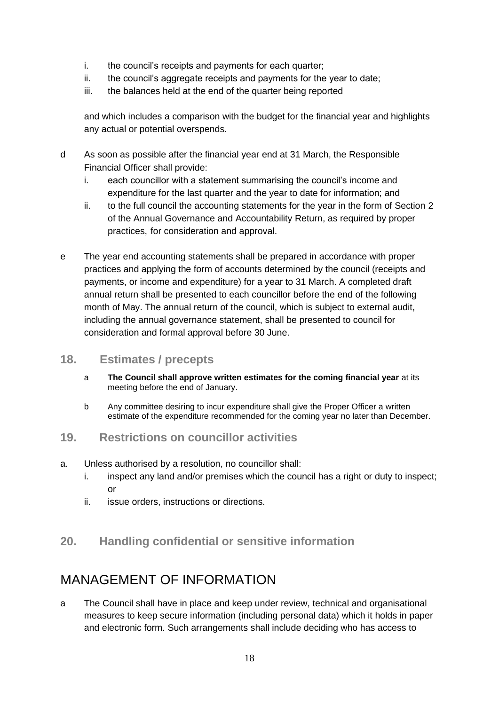- i. the council's receipts and payments for each quarter;
- ii. the council's aggregate receipts and payments for the year to date;
- iii. the balances held at the end of the quarter being reported

and which includes a comparison with the budget for the financial year and highlights any actual or potential overspends.

- d As soon as possible after the financial year end at 31 March, the Responsible Financial Officer shall provide:
	- i. each councillor with a statement summarising the council's income and expenditure for the last quarter and the year to date for information; and
	- ii. to the full council the accounting statements for the year in the form of Section 2 of the Annual Governance and Accountability Return, as required by proper practices, for consideration and approval.
- e The year end accounting statements shall be prepared in accordance with proper practices and applying the form of accounts determined by the council (receipts and payments, or income and expenditure) for a year to 31 March. A completed draft annual return shall be presented to each councillor before the end of the following month of May. The annual return of the council, which is subject to external audit, including the annual governance statement, shall be presented to council for consideration and formal approval before 30 June.

#### **18. Estimates / precepts**

- a **The Council shall approve written estimates for the coming financial year** at its meeting before the end of January.
- b Any committee desiring to incur expenditure shall give the Proper Officer a written estimate of the expenditure recommended for the coming year no later than December.
- **19. Restrictions on councillor activities**
- a. Unless authorised by a resolution, no councillor shall:
	- i. inspect any land and/or premises which the council has a right or duty to inspect; or
	- ii. issue orders, instructions or directions.
- **20. Handling confidential or sensitive information**

### MANAGEMENT OF INFORMATION

a The Council shall have in place and keep under review, technical and organisational measures to keep secure information (including personal data) which it holds in paper and electronic form. Such arrangements shall include deciding who has access to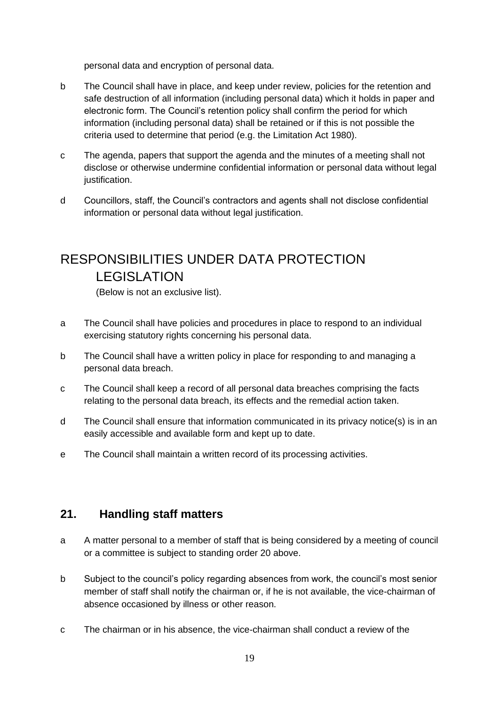personal data and encryption of personal data.

- b The Council shall have in place, and keep under review, policies for the retention and safe destruction of all information (including personal data) which it holds in paper and electronic form. The Council's retention policy shall confirm the period for which information (including personal data) shall be retained or if this is not possible the criteria used to determine that period (e.g. the Limitation Act 1980).
- c The agenda, papers that support the agenda and the minutes of a meeting shall not disclose or otherwise undermine confidential information or personal data without legal justification.
- d Councillors, staff, the Council's contractors and agents shall not disclose confidential information or personal data without legal justification.

## RESPONSIBILITIES UNDER DATA PROTECTION LEGISLATION

(Below is not an exclusive list).

- a The Council shall have policies and procedures in place to respond to an individual exercising statutory rights concerning his personal data.
- b The Council shall have a written policy in place for responding to and managing a personal data breach.
- c The Council shall keep a record of all personal data breaches comprising the facts relating to the personal data breach, its effects and the remedial action taken.
- d The Council shall ensure that information communicated in its privacy notice(s) is in an easily accessible and available form and kept up to date.
- e The Council shall maintain a written record of its processing activities.

#### **21. Handling staff matters**

- a A matter personal to a member of staff that is being considered by a meeting of council or a committee is subject to standing order 20 above.
- b Subject to the council's policy regarding absences from work, the council's most senior member of staff shall notify the chairman or, if he is not available, the vice-chairman of absence occasioned by illness or other reason.
- c The chairman or in his absence, the vice-chairman shall conduct a review of the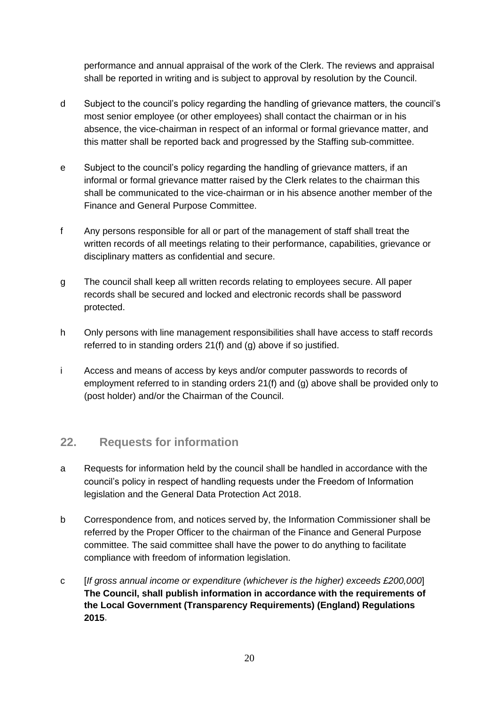performance and annual appraisal of the work of the Clerk. The reviews and appraisal shall be reported in writing and is subject to approval by resolution by the Council.

- d Subject to the council's policy regarding the handling of grievance matters, the council's most senior employee (or other employees) shall contact the chairman or in his absence, the vice-chairman in respect of an informal or formal grievance matter, and this matter shall be reported back and progressed by the Staffing sub-committee.
- e Subject to the council's policy regarding the handling of grievance matters, if an informal or formal grievance matter raised by the Clerk relates to the chairman this shall be communicated to the vice-chairman or in his absence another member of the Finance and General Purpose Committee.
- f Any persons responsible for all or part of the management of staff shall treat the written records of all meetings relating to their performance, capabilities, grievance or disciplinary matters as confidential and secure.
- g The council shall keep all written records relating to employees secure. All paper records shall be secured and locked and electronic records shall be password protected.
- h Only persons with line management responsibilities shall have access to staff records referred to in standing orders 21(f) and (g) above if so justified.
- i Access and means of access by keys and/or computer passwords to records of employment referred to in standing orders 21(f) and (g) above shall be provided only to (post holder) and/or the Chairman of the Council.

#### **22. Requests for information**

- a Requests for information held by the council shall be handled in accordance with the council's policy in respect of handling requests under the Freedom of Information legislation and the General Data Protection Act 2018.
- b Correspondence from, and notices served by, the Information Commissioner shall be referred by the Proper Officer to the chairman of the Finance and General Purpose committee. The said committee shall have the power to do anything to facilitate compliance with freedom of information legislation.
- c [*If gross annual income or expenditure (whichever is the higher) exceeds £200,000*] **The Council, shall publish information in accordance with the requirements of the Local Government (Transparency Requirements) (England) Regulations 2015**.